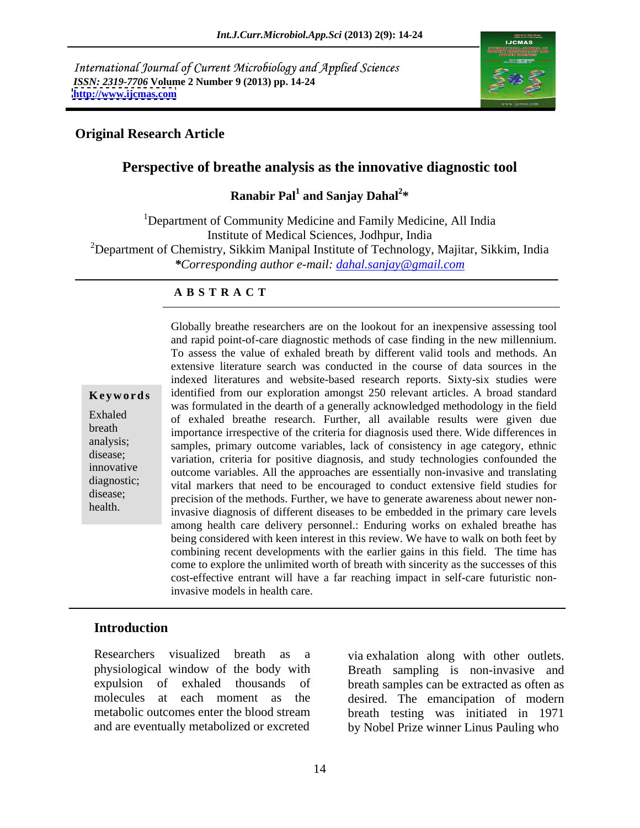International Journal of Current Microbiology and Applied Sciences *ISSN: 2319-7706* **Volume 2 Number 9 (2013) pp. 14-24 <http://www.ijcmas.com>**



### **Original Research Article**

### **Perspective of breathe analysis as the innovative diagnostic tool**

### **Ranabir Pal<sup>1</sup> and Sanjay Dahal<sup>2\*</sup> and Sanjay Dahal<sup>2</sup> \***

<sup>1</sup>Department of Community Medicine and Family Medicine, All India Institute of Medical Sciences, Jodhpur, India <sup>2</sup>Department of Chemistry, Sikkim Manipal Institute of Technology, Majitar, Sikkim, India *\*Corresponding author e-mail: dahal.sanjay@gmail.com*

### **A B S T R A C T**

**Keywords** identified from our exploration amongst 250 relevant articles. A broad standard Exhaled of exhaled breathe research. Further, all available results were given due breath importance irrespective of the criteria for diagnosis used there. Wide differences in samples, primary outcome variables, lack of consistency in age category, ethnic disease;<br>variation, criteria for positive diagnosis, and study technologies confounded the innovative outcome variables. All the approaches are essentially non-invasive and translating diagnostic; vital markers that need to be encouraged to conduct extensive field studies for disease;<br>
precision of the methods. Further, we have to generate awareness about newer nonhealth.<br>
invasive diagnosis of different diseases to be embedded in the primary care levels Globally breathe researchers are on the lookout for an inexpensive assessing tool and rapid point-of-care diagnostic methods of case finding in the new millennium. To assess the value of exhaled breath by different valid tools and methods. An extensive literature search was conducted in the course of data sources in the indexed literatures and website-based research reports. Sixty-six studies were was formulated in the dearth of a generally acknowledged methodology in the field among health care delivery personnel.: Enduring works on exhaled breathe has being considered with keen interest in this review. We have to walk on both feet by combining recent developments with the earlier gains in this field. The time has come to explore the unlimited worth of breath with sincerity as the successes of this cost-effective entrant will have a far reaching impact in self-care futuristic noninvasive models in health care.

### **Introduction**

Researchers visualized breath as a via exhalation along with other outlets.

physiological window of the body with Breath sampling is non-invasive and expulsion of exhaled thousands of breath samples can be extracted as often as molecules at each moment as the desired. The emancipation of modern metabolic outcomes enter the blood stream breath testing was initiated in 1971 and are eventually metabolized or excreted by Nobel Prize winner Linus Pauling who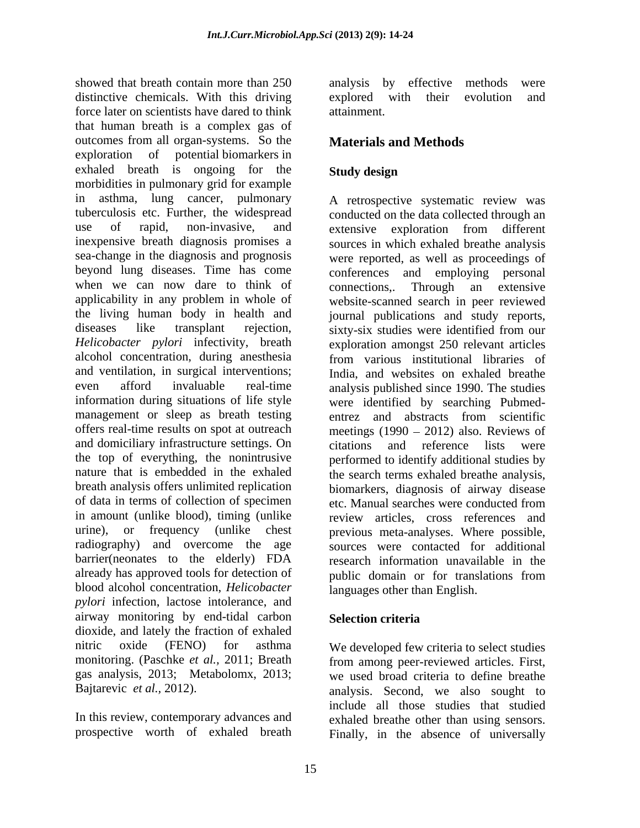showed that breath contain more than 250 analysis by effective methods were distinctive chemicals. With this driving explored with their evolution and force later on scientists have dared to think that human breath is a complex gas of outcomes from all organ-systems. So the exploration of potential biomarkers in exhaled breath is ongoing for the Study design morbidities in pulmonary grid for example in asthma, lung cancer, pulmonary tuberculosis etc. Further, the widespread conducted on the data collected through an use of rapid, non-invasive, and extensive exploration from different inexpensive breath diagnosis promises a sources in which exhaled breathe analysis sea-change in the diagnosis and prognosis were reported, as well as proceedings of beyond lung diseases. Time has come conferences and employing personal when we can now dare to think of connections.. Through an extensive applicability in any problem in whole of website-scanned search in peer reviewed the living human body in health and diseases like transplant rejection, sixty-six studies were identified from our *Helicobacter pylori* infectivity, breath exploration amongst 250 relevant articles alcohol concentration, during anesthesia from various institutional libraries of and ventilation, in surgical interventions; even afford invaluable real-time analysis published since 1990. The studies information during situations of life style were identified by searching Pubmed management or sleep as breath testing entrez and abstracts from scientific offers real-time results on spot at outreach meetings (1990 2012) also. Reviews of and domiciliary infrastructure settings. On citations and reference lists were the top of everything, the nonintrusive performed to identify additional studies by nature that is embedded in the exhaled the search terms exhaled breathe analysis, breath analysis offers unlimited replication biomarkers, diagnosis of airway disease of data in terms of collection of specimen etc. Manual searches were conducted from in amount (unlike blood), timing (unlike review articles, cross references and urine), or frequency (unlike chest previous meta-analyses. Where possible, radiography) and overcome the age sources were contacted for additional barrier(neonates to the elderly) FDA already has approved tools for detection of public domain or for translations from blood alcohol concentration, *Helicobacter pylori* infection, lactose intolerance, and airway monitoring by end-tidal carbon dioxide, and lately the fraction of exhaled<br>nitric oxide (FENO) for asthma nitric oxide (FENO) for asthma We developed few criteria to select studies monitoring. (Paschke *et al.,* 2011; Breath from among peer-reviewed articles. First, gas analysis, 2013; Metabolomx, 2013; we used broad criteria to define breathe

analysis by effective methods were explored with their evolution and attainment.

# **Materials and Methods**

## **Study design**

A retrospective systematic review was extensive exploration from different connections,. Through an extensive journal publications and study reports, sixty-six studies were identified from our from various institutional libraries of India, and websites on exhaled breathe entrez and abstracts from scientific citations and reference lists were etc. Manual searches were conducted from research information unavailable in the public domain or for translations from languages other than English.

### **Selection criteria**

Bajtarevic *et al.*, 2012). **analysis.** Second, we also sought to In this review, contemporary advances and exhaled breathe other than using sensors. prospective worth of exhaled breath Finally, in the absence of universallyinclude all those studies that studied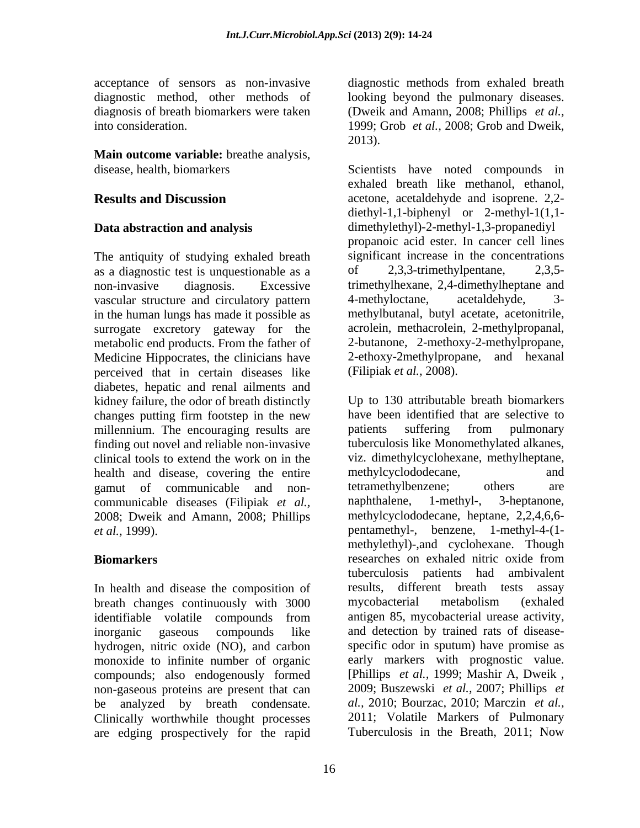acceptance of sensors as non-invasive diagnostic methods from exhaled breath diagnostic method, other methods of looking beyond the pulmonary diseases. diagnosis of breath biomarkers were taken (Dweik and Amann, 2008; Phillips *et al.,* into consideration. 1999; Grob *et al.*, 2008; Grob and Dweik,

**Main outcome variable:** breathe analysis,

The antiquity of studying exhaled breath significant increase in the concentrations as a diagnostic test is unquestionable as a  $\qquad \qquad$  0.3.3-trimethylpentane. 2.3.5as a diagnostic test is unquestionable as a non-invasive diagnosis. Excessive trimethylhexane, 2,4-dimethylheptane and vascular structure and circulatory pattern 4-methyloctane, acetaldehyde, 3in the human lungs has made it possible as surrogate excretory gateway for the metabolic end products. From the father of Medicine Hippocrates, the clinicians have 2-ethoxy-2methylpropane, and hexanal perceived that in certain diseases like diabetes, hepatic and renal ailments and kidney failure, the odor of breath distinctly changes putting firm footstep in the new millennium. The encouraging results are patients suffering from pulmonary finding out novel and reliable non-invasive clinical tools to extend the work on in the viz. dimethylcyclohexa<br>health and disease, covering the entire methylcyclododecane, health and disease, covering the entire methylcyclododecane, and gamut of communicable and non-<br>tetramethylbenzene; others are communicable diseases (Filipiak *et al.*, naphthalene, 1-methyl-, 3-heptanone, 2008; Dweik and Amann, 2008; Phillips

In health and disease the composition of breath changes continuously with 3000 mycobacterial metabolism (exhaled identifiable volatile compounds from hydrogen, nitric oxide (NO), and carbon monoxide to infinite number of organic early markers with prognostic value.<br>
compounds: also endogenously formed [Phillips *et al.*, 1999; Mashir A, Dweik, compounds; also endogenously formed non-gaseous proteins are present that can 2009; Buszewski et al., 2007; Phillips et are edging prospectively for the rapid

1999; Grob *et al.,* 2008; Grob and Dweik, 2013).

disease, health, biomarkers Scientists have noted compounds in **Results and Discussion** acetone, acetaldehyde and isoprene. 2,2- **Data abstraction and analysis**  dimethylethyl)-2-methyl-1,3-propanediyl exhaled breath like methanol, ethanol, diethyl-1,1-biphenyl or 2-methyl-1(1,1 propanoic acid ester. In cancer cell lines significant increase in the concentrations 2,3,3-trimethylpentane, 4-methyloctane, acetaldehyde, 3 methylbutanal, butyl acetate, acetonitrile, acrolein, methacrolein, 2-methylpropanal, 2-butanone, 2-methoxy-2-methylpropane, (Filipiak *et al.,* 2008).

gamut of communicable and non- tetramethylbenzene; others are *et al.,* 1999). pentamethyl-, benzene, 1-methyl-4-(1- **Biomarkers Biomarkers Biomarkers Biomarkers Biomarkers Biomarkers Biomarkers Biomarkers Biomarkers Biomarkers Biomarkers Biomarkers Biomarkers Biomarkers Biomarkers Biomarkers Biomarkers** inorganic gaseous compounds like and detection by trained rats of disease be analyzed by breath condensate. al., 2010; Bourzac, 2010; Marczin et al., Clinically worthwhile thought processes 2011; Volatile Markers of Pulmonary Up to 130 attributable breath biomarkers have been identified that are selective to patients suffering from pulmonary tuberculosis like Monomethylated alkanes, viz. dimethylcyclohexane, methylheptane, methylcyclododecane, and tetramethylbenzene; others are naphthalene, 1-methyl-, 3-heptanone, methylcyclododecane, heptane, 2,2,4,6,6 methylethyl)-,and cyclohexane. Though researches on exhaled nitric oxide from tuberculosis patients had ambivalent results, different breath tests assay mycobacterial metabolism (exhaled antigen 85, mycobacterial urease activity, specific odor in sputum) have promise as early markers with prognostic value. [Phillips *et al.,* 1999; Mashir A, Dweik , 2009; Buszewski *et al.,* 2007; Phillips *et al.,* 2010; Bourzac, 2010; Marczin *et al.,* 2011; Volatile Markers of Pulmonary Tuberculosis in the Breath, 2011; Now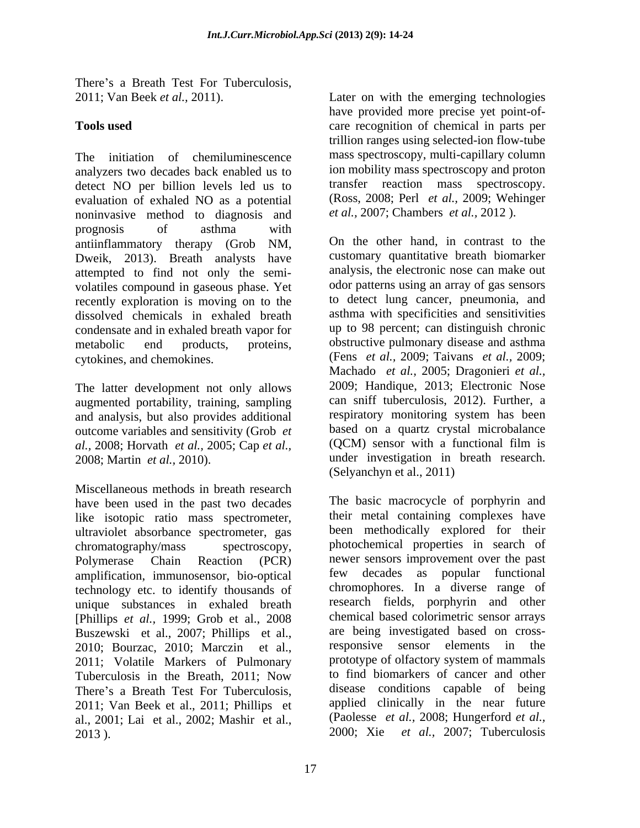There's a Breath Test For Tuberculosis,<br>2011; Van Beek *et al.*, 2011). Later on with the emerging technologies

The initiation of chemiluminescence mass spectroscopy, multi-capillary column analyzers two decades back enabled us to detect NO per billion levels led us to evaluation of exhaled NO as a potential noninvasive method to diagnosis and prognosis of asthma with antiinflammatory therapy (Grob NM, Dweik, 2013). Breath analysts have attempted to find not only the semi volatiles compound in gaseous phase. Yet recently exploration is moving on to the dissolved chemicals in exhaled breath condensate and in exhaled breath vapor for metabolic end products, proteins, obstructive pulmonary disease and asthma

The latter development not only allows augmented portability, training, sampling and analysis, but also provides additional outcome variables and sensitivity (Grob *et* based on a quartz crystal microbalance *al* 2008: Horvath *et al* 2005: Cap *et al* (OCM) sensor with a functional film is *al.,* 2008; Horvath *et al.,* 2005; Cap *et al.,*

Miscellaneous methods in breath research have been used in the past two decades like isotopic ratio mass spectrometer, ultraviolet absorbance spectrometer, gas amplification, immunosensor, bio-optical technology etc. to identify thousands of unique substances in exhaled breath [Phillips *et al.,* 1999; Grob et al., 2008 Buszewski et al., 2007; Phillips et al., are being investigated based on cross-<br>2010: Bourzac 2010: Marczin et al. responsive sensor elements in the 2010; Bourzac, 2010; Marczin et al., 2011; Volatile Markers of Pulmonary Tuberculosis in the Breath, 2011; Now al., 2001; Lai et al., 2002; Mashir et al., 2013 ). 2000; Xie *et al.,* 2007; Tuberculosis

**Tools used** care recognition of chemical in parts per Later on with the emerging technologies have provided more precise yet point-of trillion ranges using selected-ion flow-tube ion mobility mass spectroscopy and proton transfer reaction mass spectroscopy. (Ross, 2008; Perl *et al.,* 2009; Wehinger *et al.,* 2007; Chambers *et al.,* 2012 ).

cytokines, and chemokines. (Fens *et al.,* 2009; Taivans *et al.,* 2009; 2008; Martin *et al.,* 2010). under investigation in breath research. On the other hand, in contrast to the customary quantitative breath biomarker analysis, the electronic nose can make out odor patterns using an array of gas sensors to detect lung cancer, pneumonia, and asthma with specificities and sensitivities up to 98 percent; can distinguish chronic Machado *et al.,* 2005; Dragonieri *et al.,* 2009; Handique, 2013; Electronic Nose can sniff tuberculosis, 2012). Further, a respiratory monitoring system has been based on a quartz crystal microbalance (QCM) sensor with a functional film is (Selyanchyn et al., 2011)

chromatography/mass spectroscopy, photochemical properties in search of Polymerase Chain Reaction (PCR) newer sensors improvement over the past There's a Breath Test For Tuberculosis, disease conditions capable of being<br>2011; Van Beek et al., 2011; Phillips et applied clinically in the near future The basic macrocycle of porphyrin and their metal containing complexes have been methodically explored for their few decades as popular functional chromophores. In a diverse range of research fields, porphyrin and other chemical based colorimetric sensor arrays are being investigated based on crossresponsive sensor elements prototype of olfactory system of mammals to find biomarkers of cancer and other disease conditions capable of being applied clinically in the near future (Paolesse *et al.,* 2008; Hungerford *et al.,*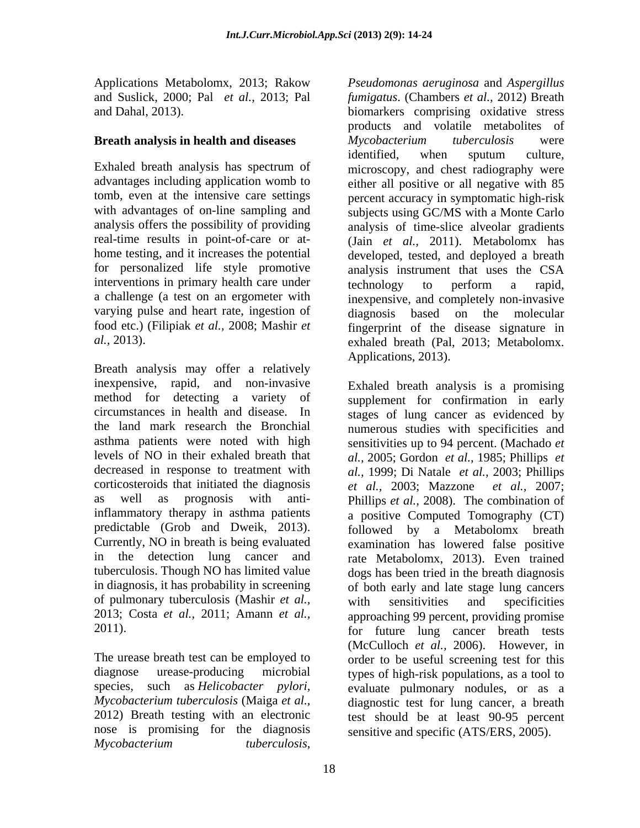Exhaled breath analysis has spectrum of for personalized life style promotive interventions in primary health care under the extendvarying pulse and heart rate, ingestion of diagnosis based on the molecular

Breath analysis may offer a relatively inexpensive, rapid, and non-invasive Exhaled breath analysis is a promising corticosteroids that initiated the diagnosis  $et \ al., \ 2003; \ Maxzone \ et \ al., \ 2007;$ predictable (Grob and Dweik, 2013). of pulmonary tuberculosis (Mashir *et al.,*

The urease breath test can be employed to nose is promising for the diagnosis sensitive and specific (ATS/ERS, 2005). *Mycobacterium tuberculosis*,

Applications Metabolomx, 2013; Rakow *Pseudomonas aeruginosa* and *Aspergillus*  and Suslick, 2000; Pal *et al.,* 2013; Pal *fumigatus*. (Chambers *et al.,* 2012) Breath and Dahal, 2013). biomarkers comprising oxidative stress **Breath analysis in health and diseases** advantages including application womb to either all positive or all negative with 85 tomb, even at the intensive care settings percent accuracy in symptomatic high-risk with advantages of on-line sampling and subjects using GC/MS with a Monte Carlo analysis offers the possibility of providing analysis of time-slice alveolar gradients real-time results in point-of-care or at- (Jain *et al.,* 2011). Metabolomx has home testing, and it increases the potential developed, tested, and deployed a breath a challenge (a test on an ergometer with inexpensive, and completely non-invasive food etc.) (Filipiak *et al.,* 2008; Mashir *et*  fingerprint of the disease signature in *al.,* 2013). exhaled breath (Pal, 2013; Metabolomx. products and volatile metabolites of *Mycobacterium tuberculosis* were identified, when sputum culture, microscopy, and chest radiography were analysis instrument that uses the CSA technology to perform a rapid, diagnosis based on the molecular Applications, 2013).

method for detecting a variety of supplement for confirmation in early circumstances in health and disease. In stages of lung cancer as evidenced by the land mark research the Bronchial numerous studies with specificities and asthma patients were noted with high sensitivities up to 94 percent. (Machado *et*  levels of NO in their exhaled breath that *al.,* 2005; Gordon *et al.,* 1985; Phillips *et*  decreased in response to treatment with *al.,* 1999; Di Natale *et al.,* 2003; Phillips as well as prognosis with anti-Phillips *et al.,* 2008). The combination of inflammatory therapy in asthma patients a positive Computed Tomography (CT) Currently, NO in breath is being evaluated examination has lowered false positive in the detection lung cancer and rate Metabolomx, 2013). Even trained tuberculosis. Though NO has limited value dogs has been tried in the breath diagnosis in diagnosis, it has probability in screening of both early and late stage lung cancers 2013; Costa *et al.,* 2011; Amann *et al.,* approaching 99 percent, providing promise 2011). for future lung cancer breath tests diagnose urease-producing microbial types of high-risk populations, as a tool to species, such as *Helicobacter pylori,* evaluate pulmonary nodules, or as a *Mycobacterium tuberculosis* (Maiga *et al.,* diagnostic test for lung cancer, a breath 2012) Breath testing with an electronic test should be at least 90-95 percent *et al.,* 2003; Mazzone *et al.,* 2007; followed by a Metabolomx breath with sensitivities and specificities (McCulloch *et al.,* 2006). However, in order to be useful screening test for this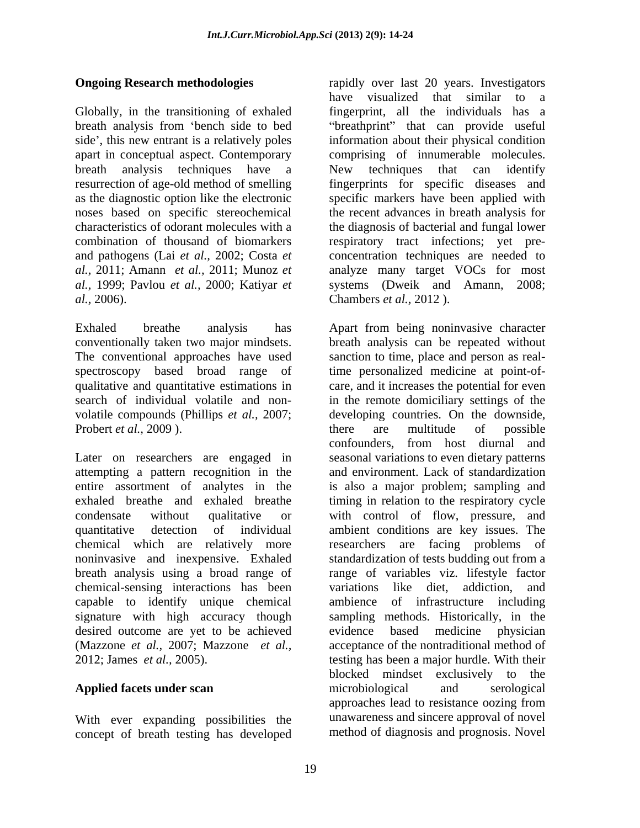Globally, in the transitioning of exhaled *al.,* 2006). Chambers *et al.,* 2012 ).

Probert *et al.*, 2009). there are multitude of possible

chemical-sensing interactions has been capable to identify unique chemical desired outcome are yet to be achieved

With ever expanding possibilities the concept of breath testing has developed

**Ongoing Research methodologies** rapidly over last 20 years. Investigators breath analysis from 'bench side to bed "breathprint" that can provide useful side', this new entrant is a relatively poles information about their physical condition apart in conceptual aspect. Contemporary comprising of innumerable molecules. breath analysis techniques have a New techniques that can identify resurrection of age-old method of smelling fingerprints for specific diseases and as the diagnostic option like the electronic specific markers have been applied with noses based on specific stereochemical the recent advances in breath analysis for characteristics of odorant molecules with a the diagnosis of bacterial and fungal lower combination of thousand of biomarkers respiratory tract infections; yet pre and pathogens (Lai *et al.,* 2002; Costa *et*  concentration techniques are needed to *al.,* 2011; Amann *et al.,* 2011; Munoz *et*  analyze many target VOCs for most *al.,* 1999; Pavlou *et al.,* 2000; Katiyar *et*  systems (Dweik and Amann, 2008; have visualized that similar to a fingerprint, all the individuals has a

Exhaled breathe analysis has Apart from being noninvasive character conventionally taken two major mindsets. The conventional approaches have used spectroscopy based broad range of time personalized medicine at point-of qualitative and quantitative estimations in care, and it increases the potential for even search of individual volatile and non- in the remote domiciliary settings of the volatile compounds (Phillips *et al.,* 2007; developing countries. On the downside, Later on researchers are engaged in seasonal variations to even dietary patterns attempting a pattern recognition in the and environment. Lack of standardization entire assortment of analytes in the is also a major problem; sampling and exhaled breathe and exhaled breathe timing in relation to the respiratory cycle condensate without qualitative or with control of flow, pressure, and quantitative detection of individual ambient conditions are key issues. The chemical which are relatively more researchers are facing problems of noninvasive and inexpensive. Exhaled standardization of tests budding out from a breath analysis using a broad range of range of variables viz. lifestyle factor signature with high accuracy though sampling methods. Historically, in the (Mazzone *et al.,* 2007; Mazzone *et al.,* acceptance of the nontraditional method of 2012; James *et al.,* 2005). testing has been a major hurdle. With their **Applied facets under scan** breath analysis can be repeated without sanction to time, place and person as realthere are multitude of possible confounders, from host diurnal and variations like diet, addiction, ambience of infrastructure based medicine physician blocked mindset exclusively to the microbiological and serological approaches lead to resistance oozing from unawareness and sincere approval of novel method of diagnosis and prognosis. Novel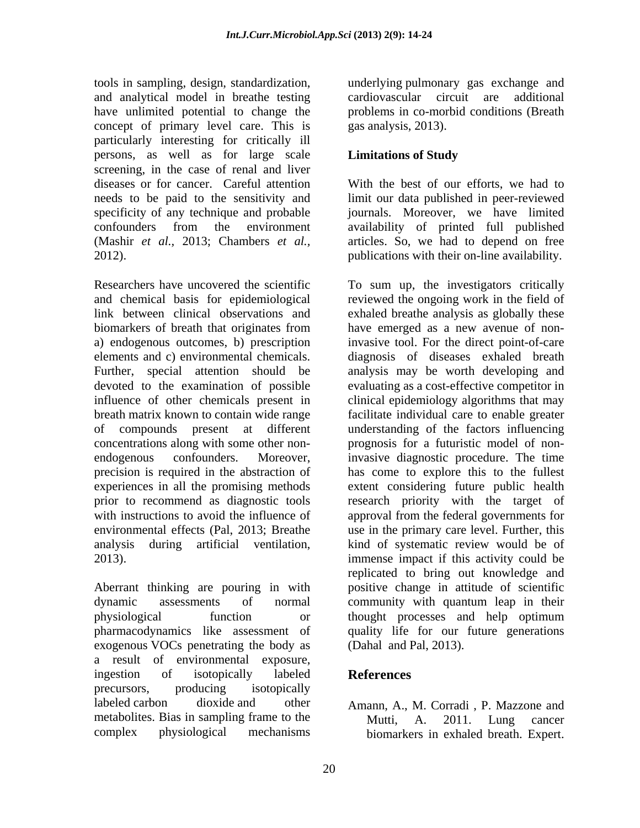tools in sampling, design, standardization, underlying pulmonary gas exchange and and analytical model in breathe testing have unlimited potential to change the concept of primary level care. This is particularly interesting for critically ill persons, as well as for large scale **Limitations of Study** screening, in the case of renal and liver diseases or for cancer. Careful attention needs to be paid to the sensitivity and limit our data published in peer-reviewed specificity of any technique and probable confounders from the environment availability of printed full published (Mashir *et al.,* 2013; Chambers *et al.,* articles. So, we had to depend on free 2012). publications with their on-line availability.

a) endogenous outcomes, b) prescription

Aberrant thinking are pouring in with physiological function or thought processes and help optimum exogenous VOCs penetrating the body as a result of environmental exposure, ingestion of isotopically labeled **References** precursors, producing isotopically labeled carbon dioxide and other Amann, A., M. Corradi , P. Mazzone and metabolites. Bias in sampling frame to the Mutti, A. 2011. Lung cancer

cardiovascular circuit are problems in co-morbid conditions (Breath gas analysis, 2013).

### **Limitations of Study**

With the best of our efforts, we had to journals. Moreover, we have limited

Researchers have uncovered the scientific To sum up, the investigators critically and chemical basis for epidemiological reviewed the ongoing work in the field of link between clinical observations and exhaled breathe analysis as globally these biomarkers of breath that originates from have emerged as a new avenue of nonelements and c) environmental chemicals. diagnosis of diseases exhaled breath Further, special attention should be analysis may be worth developing and devoted to the examination of possible evaluating as a cost-effective competitor in influence of other chemicals present in clinical epidemiology algorithms that may breath matrix known to contain wide range facilitate individual care to enable greater of compounds present at different understanding of the factors influencing concentrations along with some other non- prognosis for a futuristic model of nonendogenous confounders. Moreover, invasive diagnostic procedure. The time precision is required in the abstraction of has come to explore this to the fullest experiences in all the promising methods extent considering future public health prior to recommend as diagnostic tools research priority with the target of with instructions to avoid the influence of approval from the federal governments for environmental effects (Pal, 2013; Breathe use in the primary care level. Further, this analysis during artificial ventilation, kind of systematic review would be of immense impact if this activity could be dynamic assessments of normal community with quantum leap in their pharmacodynamics like assessment of quality life for our future generations invasive tool. For the direct point-of-care kind of systematic review would be of immense impact if this activity could be replicated to bring out knowledge and positive change in attitude of scientific thought processes and help optimum (Dahal and Pal, 2013).

### **References**

complex physiological mechanisms biomarkers in exhaled breath. Expert.Mutti, A. 2011. Lung cancer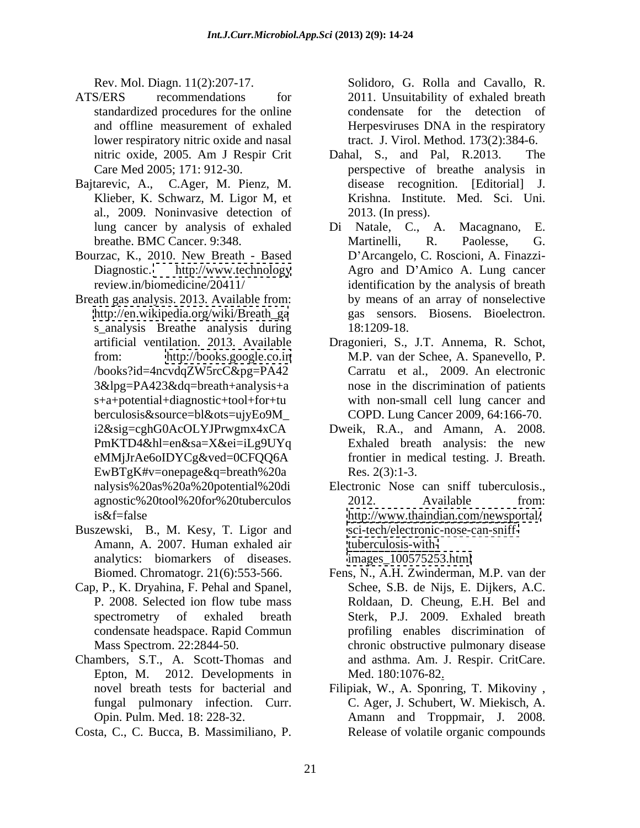- ATS/ERS recommendations for 2011. Unsuitability of exhaled breath standardized procedures for the online condensate for the detection of and offline measurement of exhaled Herpesviruses DNA in the respiratory lower respiratory nitric oxide and nasal tract. J. Virol. Method. 173(2):384-6.
- al., 2009. Noninvasive detection of
- Bourzac, K., 2010. New Breath Based
- Breath gas analysis. 2013. Available from: s\_analysis Breathe analysis during 18:1209-18. EwBTgK#v=onepage&q=breath%20a Res. 2(3):1-3.
- Buszewski, B., M. Kesy, T. Ligor and Amann, A. 2007. Human exhaled air analytics: biomarkers of diseases.
- Cap, P., K. Dryahina, F. Pehal and Spanel,
- Chambers, S.T., A. Scott-Thomas and Epton, M. 2012. Developments in Med. 180:1076-82.
- Costa, C., C. Bucca, B. Massimiliano, P.

Rev. Mol. Diagn. 11(2):207-17. Solidoro, G. Rolla and Cavallo, R. condensate for the detection

- nitric oxide, 2005. Am J Respir Crit Dahal, S., and Pal, R.2013. The Care Med 2005; 171: 912-30. perspective of breathe analysis in Bajtarevic, A., C.Ager, M. Pienz, M. Klieber, K. Schwarz, M. Ligor M, et Dahal, S., and Pal, R.2013. disease recognition. [Editorial] J. Krishna. Institute. Med. Sci. Uni. 2013. (In press).
	- lung cancer by analysis of exhaled Di Natale, C., A. Macagnano, E. breathe. BMC Cancer. 9:348. Martinelli, R. Paolesse, G. Diagnostic. <http://www.technology> Agro and D'Amico A. Lung cancer review.in/biomedicine/20411/ identification by the analysis of breath [http://en.wikipedia.org/wiki/Breath\\_ga](http://en.wikipedia.org/wiki/Breath_ga) gas sensors. Biosens. Bioelectron. Di Natale, C., A. Martinelli, R. Paolesse, G. D Arcangelo, C. Roscioni, A. Finazzi by means of an array of nonselective 18:1209-18.
	- artificial ventilation. 2013. Available Dragonieri, S., J.T. Annema, R. Schot, from: <http://books.google.co.in> M.P. van der Schee, A. Spanevello, P. /books?id=4ncvdqZW5rcC&pg=PA42 Carratu et al., 2009. An electronic 3&lpg=PA423&dq=breath+analysis+a nose in the discrimination of patients s+a+potential+diagnostic+tool+for+tu with non-small cell lung cancer and berculosis&source=bl&ots=ujyEo9M\_ COPD. Lung Cancer 2009, 64:166-70.
	- i2&sig=cghG0AcOLYJPrwgmx4xCA Dweik, R.A., and Amann, A. 2008. PmKTD4&hl=en&sa=X&ei=iLg9UYq Exhaled breath analysis: the new eMMjJrAe6oIDYCg&ved=0CFQQ6A frontier in medical testing. J. Breath. Exhaled breath analysis: the new Res.  $2(3)$ :1-3.
	- nalysis%20as%20a%20potential%20di agnostic%20tool%20for%20tuberculos is&f=false <http://www.thaindian.com/newsportal/> Electronic Nose can sniff tuberculosis.,<br>2012. Available from: [sci-tech/electronic-nose-can-sniff](sci-tech/electronic-nose-can-sniff-)[tuberculosis-with](tuberculosis-with-)[images\\_100575253.html](images_100575253.html)
	- Biomed. Chromatogr. 21(6):553-566. Fens, N., A.H. Zwinderman, M.P. van der P. 2008. Selected ion flow tube mass Roldaan, D. Cheung, E.H. Bel and spectrometry of exhaled breath Sterk, P.J. 2009. Exhaled breath condensate headspace. Rapid Commun profiling enables discrimination of Mass Spectrom. 22:2844-50. chronic obstructive pulmonary disease Schee, S.B. de Nijs, E. Dijkers, A.C. and asthma. Am. J. Respir. CritCare.
	- novel breath tests for bacterial and Filipiak, W., A. Sponring, T. Mikoviny, fungal pulmonary infection. Curr. C. Ager, J. Schubert, W. Miekisch, A. Opin. Pulm. Med. 18: 228-32. Amann and Troppmair, J. 2008. Med. 180:1076-82<u>.</u><br>Filipiak, W., A. Sponring, T. Mikoviny , Release of volatile organic compounds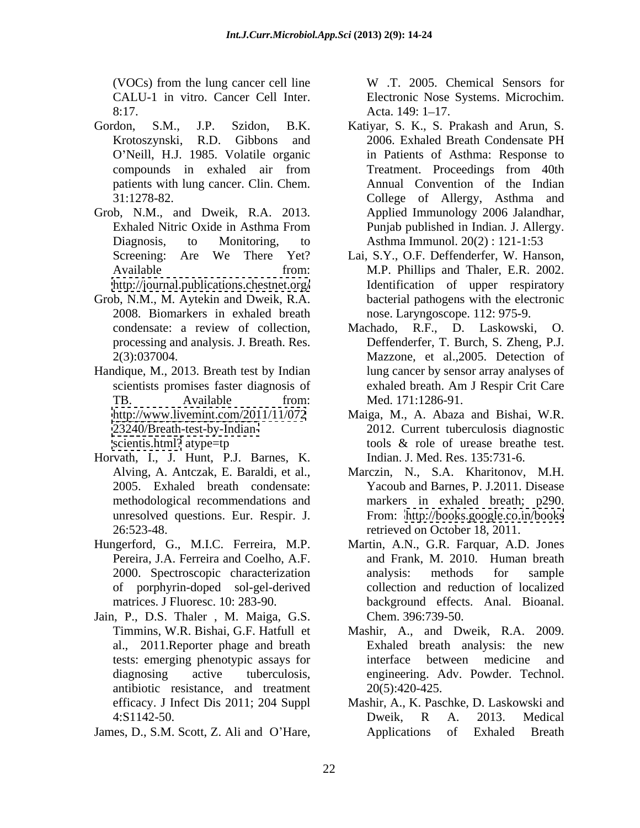8:17. Acta. 149: 1-17.

- patients with lung cancer. Clin. Chem.
- Grob, N.M., and Dweik, R.A. 2013. <http://journal.publications.chestnet.org/>
- 2008. Biomarkers in exhaled breath
- Handique, M., 2013. Breath test by Indian
- Horvath, I., J. Hunt, P.J. Barnes, K. Alving, A. Antczak, E. Baraldi, et al., unresolved questions. Eur. Respir. J.
- of porphyrin-doped sol-gel-derived
- Jain, P., D.S. Thaler , M. Maiga, G.S. antibiotic resistance, and treatment efficacy. J Infect Dis 2011; 204 Suppl
- 

(VOCs) from the lung cancer cell line W .T. 2005. Chemical Sensors for CALU-1 in vitro. Cancer Cell Inter. Electronic Nose Systems. Microchim. Acta. 149: 1–17.

- Gordon, S.M., J.P. Szidon, B.K. Katiyar, S. K., S. Prakash and Arun, S. Krotoszynski, R.D. Gibbons and O Neill, H.J. 1985. Volatile organic in Patients of Asthma: Response to compounds in exhaled air from 31:1278-82. College of Allergy, Asthma and Exhaled Nitric Oxide in Asthma From Punjab published in Indian. J. Allergy. Diagnosis, to Monitoring, to Asthma Immunol. 20(2) : 121-1:53 COCS from the buy can-be a Natural Mine can-be a Natural Mine and Associates for the stock of the stock of the stock of the stock of the stock of the stock of the stock of the stock of the stock of the stock of the stock 2006. Exhaled Breath Condensate PH Treatment. Proceedings from 40th Annual Convention of the Indian Applied Immunology 2006 Jalandhar,
- Screening: Are We There Yet? Lai, S.Y., O.F. Deffenderfer, W. Hanson, Available from: M.P. Phillips and Thaler, E.R. 2002. Grob, N.M., M. Aytekin and Dweik, R.A. bacterial pathogens with the electronic Identification of upper respiratory nose. Laryngoscope. 112: 975-9.
	- condensate: a review of collection, processing and analysis. J. Breath. Res. Deffenderfer, T. Burch, S. Zheng, P.J. 2(3):037004. Mazzone, et al.,2005. Detection of scientists promises faster diagnosis of exhaled breath. Am J Respir Crit Care TB. Available from: Med. 171:1286-91. Machado, R.F., D. Laskowski, O. lung cancer by sensor array analyses of exhaled breath. Am J Respir Crit Care Med. 171:1286-91.
	- <http://www.livemint.com/2011/11/072> Maiga, M., A. Abaza and Bishai, W.R. <23240/Breath-test-by-Indian-> 2012. Current tuberculosis diagnostic <scientis.html?> atype=tp tools & role of urease breathe test. Indian. J. Med. Res. 135:731-6.
	- 2005. Exhaled breath condensate: Yacoub and Barnes, P. J.2011. Disease methodological recommendations and markers in exhaled breath; p290. 26:523-48. retrieved on October 18, 2011. Marczin, N., S.A. Kharitonov, M.H. From: <http://books.google.co.in/books>
- Hungerford, G., M.I.C. Ferreira, M.P. Martin, A.N., G.R. Farquar, A.D. Jones Pereira, J.A. Ferreira and Coelho, A.F. and Frank, M. 2010. Human breath 2000. Spectroscopic characterization analysis: methods for sample matrices. J Fluoresc. 10: 283-90. background effects. Anal. Bioanal. analysis: methods for sample collection and reduction of localized Chem. 396:739-50.
	- Timmins, W.R. Bishai, G.F. Hatfull et Mashir, A., and Dweik, R.A. 2009. al., 2011. Reporter phage and breath Exhaled breath analysis: the new tests: emerging phenotypic assays for diagnosing active tuberculosis, engineering. Adv. Powder. Technol. Exhaled breath analysis: the new interface between medicine and 20(5):420-425.
	- 4:S1142-50. Dweik, R A. 2013. Medical Mashir, A., K. Paschke, D. Laskowski and Dweik, R A. 2013. Medical Applications of Exhaled Breath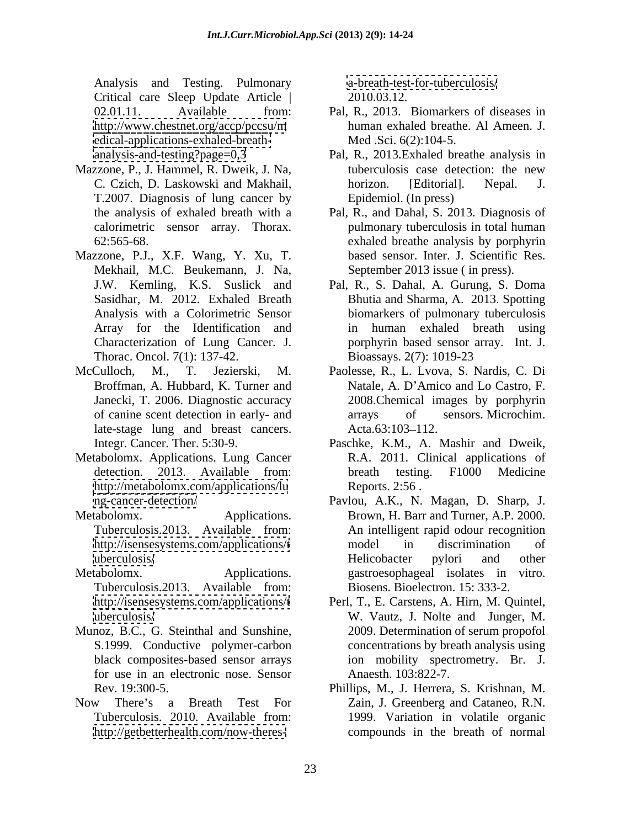Analysis and Testing. Pulmonary Critical care Sleep Update Article | <edical-applications-exhaled-breath->

- T.2007. Diagnosis of lung cancer by
- Mazzone, P.J., X.F. Wang, Y. Xu, T. Mekhail, M.C. Beukemann, J. Na, September 2013 issue (in press).<br>J.W. Kemling, K.S. Suslick and Pal, R., S. Dahal, A. Gurung, S. Doma Thorac. Oncol. 7(1): 137-42. Bioassays. 2(7): 1019-23
- late-stage lung and breast cancers. Acta.63:103-112.
- Metabolomx. Applications. Lung Cancer R.A. 2011. Clinical applications of <http://metabolomx.com/applications/lu>
- 
- Tuberculosis.2013. Available from:
- Munoz, B.C., G. Steinthal and Sunshine, for use in an electronic nose. Sensor
- <http://getbetterhealth.com/now-theres->

<a-breath-test-for-tuberculosis/> 2010.03.12.

- 02.01.11. Available from: Pal, R., 2013. Biomarkers of diseases in <http://www.chestnet.org/accp/pccsu/m> human exhaled breathe. Al Ameen. J. human exhaled breathe. Al Ameen. J. Med .Sci. 6(2):104-5.
- <analysis-and-testing?page=0,3> Pal, R., 2013.Exhaled breathe analysis in Mazzone, P., J. Hammel, R. Dweik, J. Na, tuberculosis case detection: the new C. Czich, D. Laskowski and Makhail, horizon. [Editorial]. Nepal. J. tuberculosis case detection: the new horizon. [Editorial]. Nepal. J. Epidemiol. (In press)
	- the analysis of exhaled breath with a Pal,R., and Dahal, S. 2013. Diagnosis of calorimetric sensor array. Thorax. pulmonary tuberculosis in total human 62:565-68. exhaled breathe analysis by porphyrin based sensor. Inter. J. Scientific Res. September 2013 issue ( in press).
	- Sasidhar, M. 2012. Exhaled Breath Bhutia and Sharma, A. 2013. Spotting Analysis with a Colorimetric Sensor biomarkers of pulmonary tuberculosis Array for the Identification and in human exhaled breath using Characterization of Lung Cancer. J. porphyrin based sensor array. Int. J. Pal, R., S. Dahal, A. Gurung, S. Doma Bioassays. 2(7): 1019-23
- McCulloch, M., T. Jezierski, M. Paolesse, R., L. Lvova, S. Nardis, C. Di Broffman, A. Hubbard, K. Turner and Natale, A. D'Amico and Lo Castro, F. Janecki, T. 2006. Diagnostic accuracy 2008.Chemical images by porphyrin of canine scent detection in early- and arrays of sensors. Microchim. arrays of sensors. Microchim.  $Acta.63:103-112.$ 
	- Integr. Cancer. Ther. 5:30-9. Paschke, K.M., A. Mashir and Dweik, detection. 2013. Available from: breath testing. F1000 Medicine breath testing. F1000 Medicine Reports. 2:56 .
- <ng-cancer-detection/> Pavlou, A.K., N. Magan, D. Sharp, J. Metabolomx. Applications. Brown, H. Barr and Turner, A.P. 2000. Tuberculosis.2013. Available from: An intelligent rapid odour recognition <http://isensesystems.com/applications/t> model in discrimination of <uberculosis/> The extended Electrophone extended Helicobacter pylori and other Metabolomx. Applications. gastroesophageal isolates in vitro. model in discrimination of Helicobacter pylori and other Biosens. Bioelectron. 15: 333-2.
	- <http://isensesystems.com/applications/t> Perl, T., E. Carstens, A. Hirn, M. Quintel, <uberculosis/> W. Vautz, J. Nolte and Junger, M. S.1999. Conductive polymer-carbon concentrations by breath analysis using black composites-based sensor arrays ion mobility spectrometry. Br. J. 2009. Determination of serum propofol Anaesth. 103:822-7.
- Rev. 19:300-5. Phillips, M., J. Herrera, S. Krishnan, M. Now There's a Breath Test For Zain, J. Greenberg and Cataneo, R.N. Tuberculosis. 2010. Available from: 1999. Variation in volatile organic compounds in the breath of normal